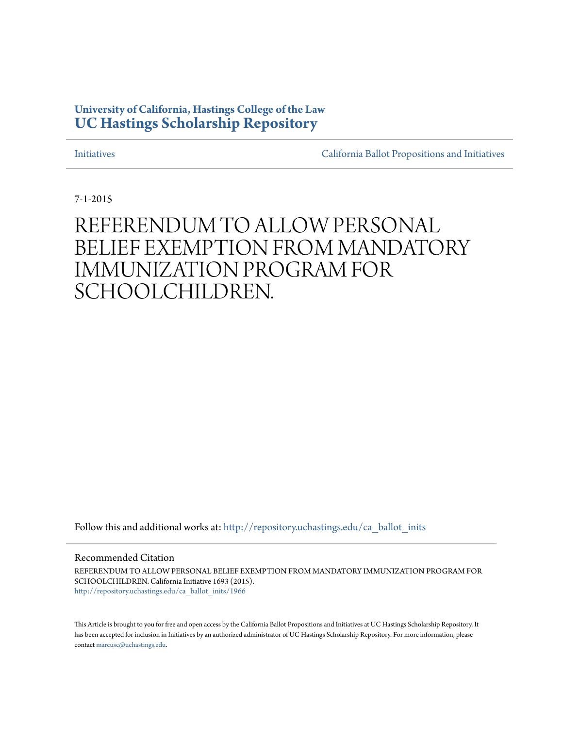## **University of California, Hastings College of the Law [UC Hastings Scholarship Repository](http://repository.uchastings.edu?utm_source=repository.uchastings.edu%2Fca_ballot_inits%2F1966&utm_medium=PDF&utm_campaign=PDFCoverPages)**

[Initiatives](http://repository.uchastings.edu/ca_ballot_inits?utm_source=repository.uchastings.edu%2Fca_ballot_inits%2F1966&utm_medium=PDF&utm_campaign=PDFCoverPages) [California Ballot Propositions and Initiatives](http://repository.uchastings.edu/ca_ballots?utm_source=repository.uchastings.edu%2Fca_ballot_inits%2F1966&utm_medium=PDF&utm_campaign=PDFCoverPages)

7-1-2015

# REFERENDUM TO ALLOW PERSONAL BELIEF EXEMPTION FROM MANDATORY IMMUNIZATION PROGRAM FOR SCHOOLCHILDREN.

Follow this and additional works at: [http://repository.uchastings.edu/ca\\_ballot\\_inits](http://repository.uchastings.edu/ca_ballot_inits?utm_source=repository.uchastings.edu%2Fca_ballot_inits%2F1966&utm_medium=PDF&utm_campaign=PDFCoverPages)

Recommended Citation

REFERENDUM TO ALLOW PERSONAL BELIEF EXEMPTION FROM MANDATORY IMMUNIZATION PROGRAM FOR SCHOOLCHILDREN. California Initiative 1693 (2015). [http://repository.uchastings.edu/ca\\_ballot\\_inits/1966](http://repository.uchastings.edu/ca_ballot_inits/1966?utm_source=repository.uchastings.edu%2Fca_ballot_inits%2F1966&utm_medium=PDF&utm_campaign=PDFCoverPages)

This Article is brought to you for free and open access by the California Ballot Propositions and Initiatives at UC Hastings Scholarship Repository. It has been accepted for inclusion in Initiatives by an authorized administrator of UC Hastings Scholarship Repository. For more information, please contact [marcusc@uchastings.edu](mailto:marcusc@uchastings.edu).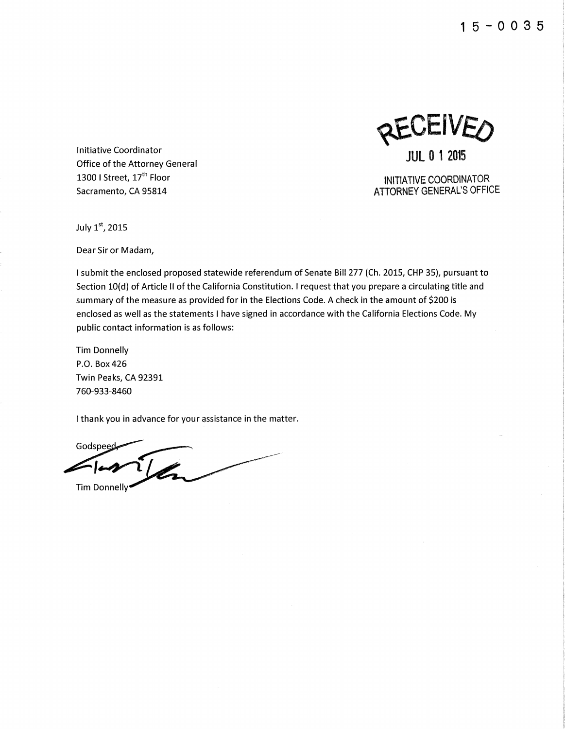**1** 5 - **0 0 3 5** 

**JEIVEO JUL 0 1 2015** 

Office of the Attorney General

INITIATIVE COORDINATOR **ATTORNEY GENERAL'S OFFICE** 

July 1st, 2015

Dear Sir or Madam,

Initiative Coordinator

1300 I Street, 17<sup>th</sup> Floor Sacramento, CA 95814

I submit the enclosed proposed statewide referendum of Senate Bill 277 (Ch. 2015, CHP 35), pursuant to Section 10(d) of Article II of the California Constitution. I request that you prepare a circulating title and summary of the measure as provided for in the Elections Code. A check in the amount of \$200 is enclosed as well as the statements I have signed in accordance with the California Elections Code. My public contact information is as follows:

Tim Donnelly P.O. Box426 Twin Peaks, CA 92391 760-933-8460

I thank you in advance for your assistance in the matter.

Godspeed  $\tilde{\mathcal{U}}$ Tim Donnelly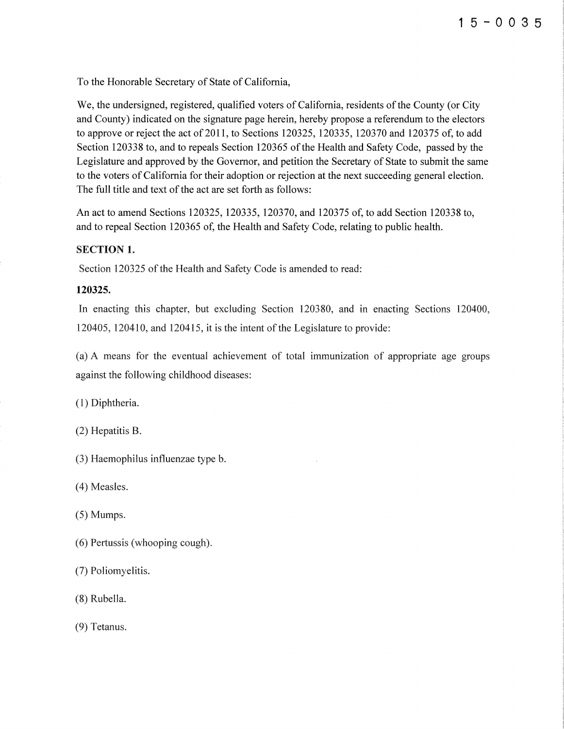To the Honorable Secretary of State of California,

We, the undersigned, registered, qualified voters of California, residents of the County (or City and County) indicated on the signature page herein, hereby propose a referendum to the electors to approve or reject the act of 2011, to Sections 120325, 120335, 120370 and 120375 of, to add Section 120338 to, and to repeals Section 120365 of the Health and Safety Code, passed by the Legislature and approved by the Governor, and petition the Secretary of State to submit the same to the voters of California for their adoption or rejection at the next succeeding general election. The full title and text of the act are set forth as follows:

An act to amend Sections 120325, 120335, 120370, and 120375 of, to add Section 120338 to, and to repeal Section 120365 of, the Health and Safety Code, relating to public health.

#### SECTION 1.

Section 120325 of the Health and Safety Code is amended to read:

#### **120325.**

In enacting this chapter, but excluding Section 120380, and in enacting Sections 120400, 120405, 120410, and 120415, it is the intent of the Legislature to provide:

(a) A means for the eventual achievement of total immunization of appropriate age groups against the following childhood diseases:

( 1) Diphtheria.

(2) Hepatitis B.

(3) Haemophilus influenzae type b.

(4) Measles.

(5) Mumps.

(6) Pertussis (whooping cough).

(7) Poliomyelitis.

(8) Rubella.

(9) Tetanus.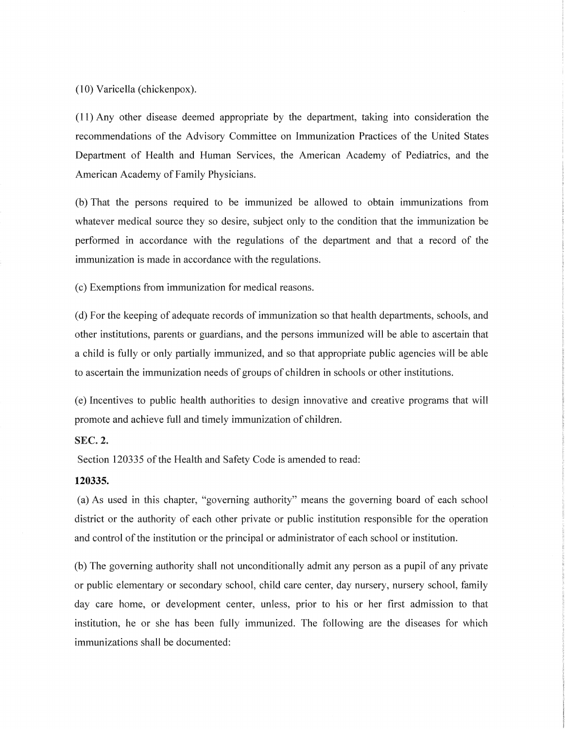(10) Varicella (chickenpox).

( 11) Any other disease deemed appropriate by the department, taking into consideration the recommendations of the Advisory Committee on Immunization Practices of the United States Department of Health and Human Services, the American Academy of Pediatrics, and the American Academy of Family Physicians.

(b) That the persons required to be immunized be allowed to obtain immunizations from whatever medical source they so desire, subject only to the condition that the immunization be performed in accordance with the regulations of the department and that a record of the immunization is made in accordance with the regulations.

(c) Exemptions from immunization for medical reasons.

(d) For the keeping of adequate records of immunization so that health departments, schools, and other institutions, parents or guardians, and the persons immunized will be able to ascertain that a child is fully or only partially immunized, and so that appropriate public agencies will be able to ascertain the immunization needs of groups of children in schools or other institutions.

(e) Incentives to public health authorities to design innovative and creative programs that will promote and achieve full and timely immunization of children.

#### SEC. 2.

Section 120335 of the Health and Safety Code is amended to read:

#### **120335.**

(a) As used in this chapter, "governing authority" means the governing board of each school district or the authority of each other private or public institution responsible for the operation and control of the institution or the principal or administrator of each school or institution.

(b) The governing authority shall not unconditionally admit any person as a pupil of any private or public elementary or secondary school, child care center, day nursery, nursery school, family day care home, or development center, unless, prior to his or her first admission to that institution, he or she has been fully immunized. The following are the diseases for which immunizations shall be documented: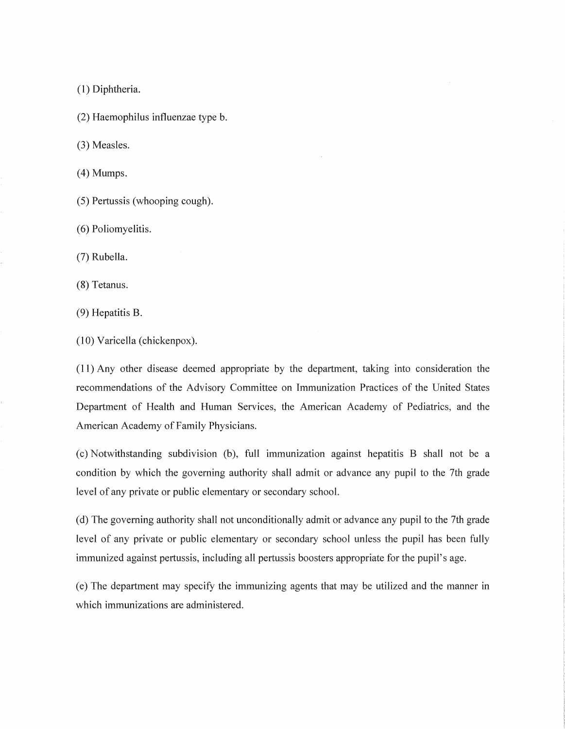( 1) Diphtheria.

(2) Haemophilus influenzae type b.

(3) Measles.

(4) Mumps.

(5) Pertussis (whooping cough).

(6) Poliomyelitis.

(7) Rubella.

(8) Tetanus.

(9) Hepatitis B.

(10) Varicella (chickenpox).

( 11) Any other disease deemed appropriate by the department, taking into consideration the recommendations of the Advisory Committee on Immunization Practices of the United States Department of Health and Human Services, the American Academy of Pediatrics, and the American Academy of Family Physicians.

(c) Notwithstanding subdivision (b), full immunization against hepatitis B shall not be a condition by which the governing authority shall admit or advance any pupil to the 7th grade level of any private or public elementary or secondary school.

(d) The governing authority shall not unconditionally admit or advance any pupil to the 7th grade level of any private or public elementary or secondary school unless the pupil has been fully immunized against pertussis, including all pertussis boosters appropriate for the pupil's age.

(e) The department may specify the immunizing agents that may be utilized and the manner in which immunizations are administered.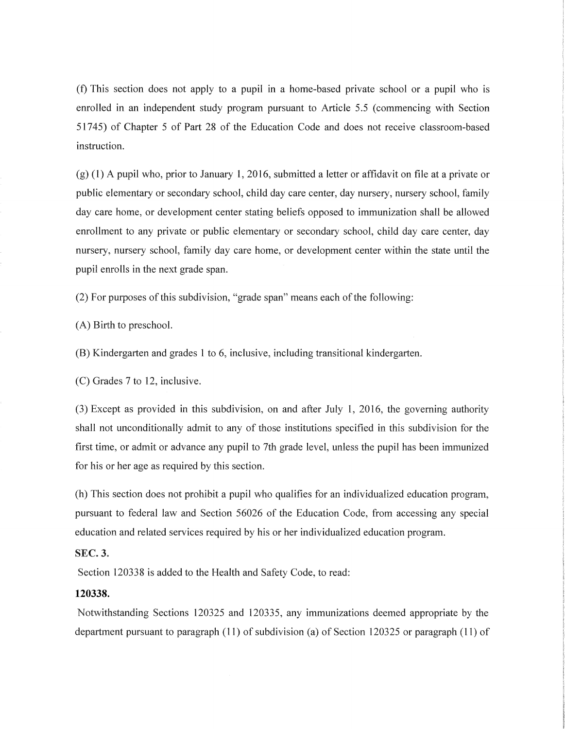(f) This section does not apply to a pupil in a home-based private school or a pupil who is enrolled in an independent study program pursuant to Article 5.5 (commencing with Section 51745) of Chapter 5 of Part 28 of the Education Code and does not receive classroom-based instruction.

(g) (1) A pupil who, prior to January 1, 2016, submitted a letter or affidavit on file at a private or public elementary or secondary school, child day care center, day nursery, nursery school, family day care home, or development center stating beliefs opposed to immunization shall be allowed enrollment to any private or public elementary or secondary school, child day care center, day nursery, nursery school, family day care home, or development center within the state until the pupil enrolls in the next grade span.

(2) For purposes of this subdivision, "grade span" means each of the following:

(A) Birth to preschool.

(B) Kindergarten and grades 1 to 6, inclusive, including transitional kindergarten.

(C) Grades 7 to 12, inclusive.

(3) Except as provided in this subdivision, on and after July 1, 2016, the governing authority shall not unconditionally admit to any of those institutions specified in this subdivision for the first time, or admit or advance any pupil to 7th grade level, unless the pupil has been immunized for his or her age as required by this section.

(h) This section does not prohibit a pupil who qualifies for an individualized education program, pursuant to federal law and Section 56026 of the Education Code, from accessing any special education and related services required by his or her individualized education program.

#### SEC.3.

Section 120338 is added to the Health and Safety Code, to read:

#### **120338.**

Notwithstanding Sections 120325 and 120335, any immunizations deemed appropriate by the department pursuant to paragraph (11) of subdivision (a) of Section 120325 or paragraph (11) of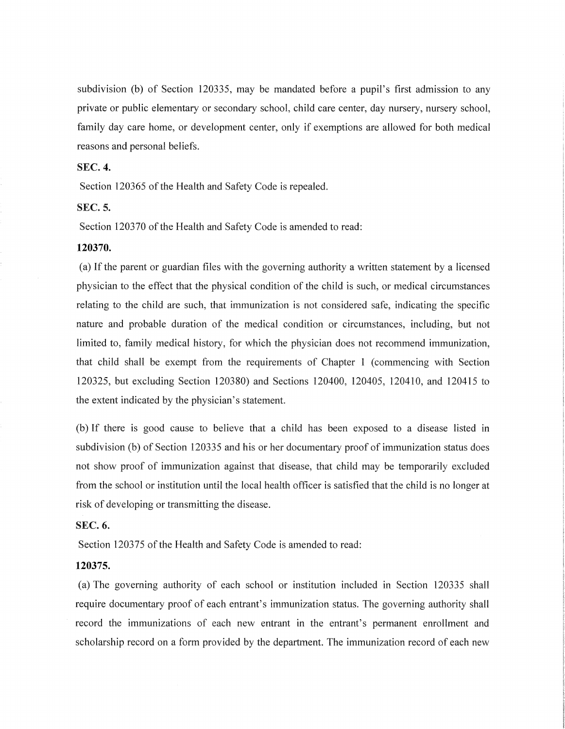subdivision (b) of Section 120335, may be mandated before a pupil's first admission to any private or public elementary or secondary school, child care center, day nursery, nursery school, family day care home, or development center, only if exemptions are allowed for both medical reasons and personal beliefs.

#### SEC. **4.**

Section 120365 of the Health and Safety Code is repealed.

#### SEC.S.

Section 120370 of the Health and Safety Code is amended to read:

#### **120370.**

(a) If the parent or guardian files with the governing authority a written statement by a licensed physician to the effect that the physical condition of the child is such, or medical circumstances relating to the child are such, that immunization is not considered safe, indicating the specific nature and probable duration of the medical condition or circumstances, including, but not limited to, family medical history, for which the physician does not recommend immunization, that child shall be exempt from the requirements of Chapter 1 (commencing with Section 120325, but excluding Section 120380) and Sections 120400, 120405, 120410, and 120415 to the extent indicated by the physician's statement.

(b) If there is good cause to believe that a child has been exposed to a disease listed in subdivision (b) of Section 120335 and his or her documentary proof of immunization status does not show proof of immunization against that disease, that child may be temporarily excluded from the school or institution until the local health officer is satisfied that the child is no longer at risk of developing or transmitting the disease.

#### SEC.6.

Section 120375 of the Health and Safety Code is amended to read:

#### **120375.**

(a) The governing authority of each school or institution included in Section 120335 shall require documentary proof of each entrant's immunization status. The governing authority shall record the immunizations of each new entrant in the entrant's permanent enrollment and scholarship record on a form provided by the department. The immunization record of each new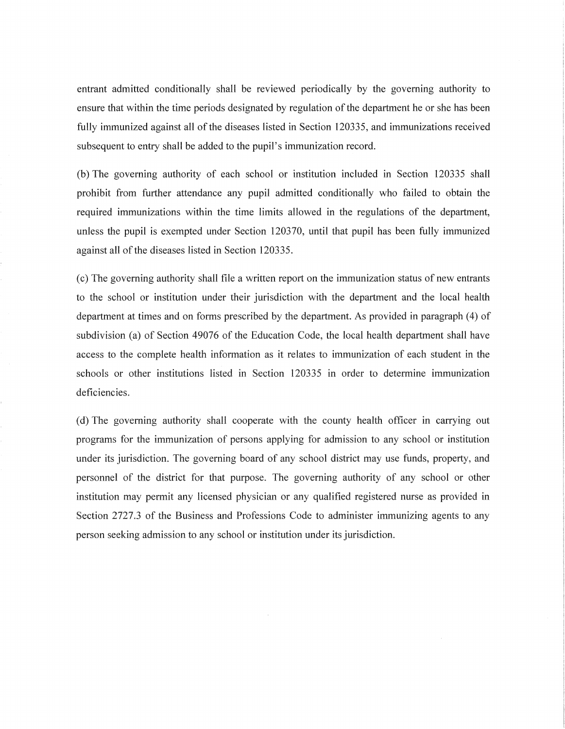entrant admitted conditionally shall be reviewed periodically by the governing authority to ensure that within the time periods designated by regulation of the department he or she has been fully immunized against all of the diseases listed in Section 120335, and immunizations received subsequent to entry shall be added to the pupil's immunization record.

(b) The governing authority of each school or institution included in Section 120335 shall prohibit from further attendance any pupil admitted conditionally who failed to obtain the required immunizations within the time limits allowed in the regulations of the department, unless the pupil is exempted under Section 120370, until that pupil has been fully immunized against all of the diseases listed in Section 120335.

(c) The governing authority shall file a written report on the immunization status of new entrants to the school or institution under their jurisdiction with the department and the local health department at times and on forms prescribed by the department. As provided in paragraph (4) of subdivision (a) of Section 49076 of the Education Code, the local health department shall have access to the complete health information as it relates to immunization of each student in the schools or other institutions listed in Section 120335 in order to determine immunization deficiencies.

(d) The governing authority shall cooperate with the county health officer in carrying out programs for the immunization of persons applying for admission to any school or institution under its jurisdiction. The governing board of any school district may use funds, property, and personnel of the district for that purpose. The governing authority of any school or other institution may permit any licensed physician or any qualified registered nurse as provided in Section 2727.3 of the Business and Professions Code to administer immunizing agents to any person seeking admission to any school or institution under its jurisdiction.